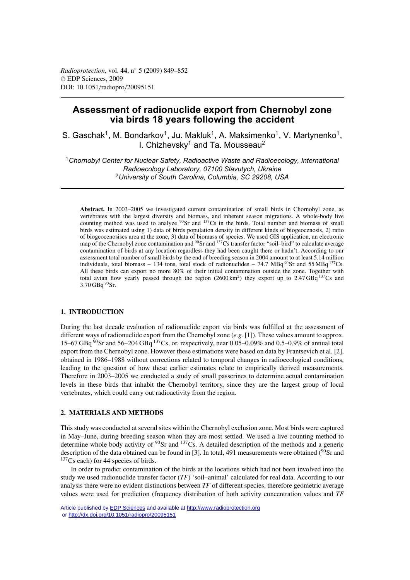# **Assessment of radionuclide export from Chernobyl zone via birds 18 years following the accident**

S. Gaschak<sup>1</sup>, M. Bondarkov<sup>1</sup>, Ju. Makluk<sup>1</sup>, A. Maksimenko<sup>1</sup>, V. Martynenko<sup>1</sup>, I. Chizhevsky<sup>1</sup> and Ta. Mousseau<sup>2</sup>

<sup>1</sup>*Chornobyl Center for Nuclear Safety, Radioactive Waste and Radioecology, International Radioecology Laboratory, 07100 Slavutych, Ukraine* <sup>2</sup>*University of South Carolina, Columbia, SC 29208, USA*

**Abstract.** In 2003–2005 we investigated current contamination of small birds in Chornobyl zone, as vertebrates with the largest diversity and biomass, and inherent season migrations. A whole-body live counting method was used to analyze  $90$ Sr and  $137$ Cs in the birds. Total number and biomass of small birds was estimated using 1) data of birds population density in different kinds of biogeocenosis, 2) ratio of biogeocenosises area at the zone, 3) data of biomass of species. We used GIS application, an electronic map of the Chernobyl zone contamination and <sup>90</sup>Sr and <sup>137</sup>Cs transfer factor "soil-bird" to calculate average contamination of birds at any location regardless they had been caught there or hadn't. According to our assessment total number of small birds by the end of breeding season in 2004 amount to at least 5.14 million individuals, total biomass – 134 tons, total stock of radionuclides – 74.7 MBq  $^{90}$ Sr and 55 MBq  $^{137}$ Cs. All these birds can export no more 80% of their initial contamination outside the zone. Together with total avian flow yearly passed through the region  $(2600 \text{ km}^2)$  they export up to 2.47 GBq <sup>137</sup>Cs and 3.70 GBq 90Sr.

# **1. INTRODUCTION**

During the last decade evaluation of radionuclide export via birds was fulfilled at the assessment of different ways of radionuclide export from the Chernobyl zone (*e.g.* [1]). These values amount to approx. 15–67 GBq  $90$ Sr and 56–204 GBq  $137$ Cs, or, respectively, near 0.05–0.09% and 0.5–0.9% of annual total export from the Chernobyl zone. However these estimations were based on data by Frantsevich et al. [2], obtained in 1986–1988 without corrections related to temporal changes in radioecological conditions, leading to the question of how these earlier estimates relate to empirically derived measurements. Therefore in 2003–2005 we conducted a study of small passerines to determine actual contamination levels in these birds that inhabit the Chernobyl territory, since they are the largest group of local vertebrates, which could carry out radioactivity from the region.

# **2. MATERIALS AND METHODS**

This study was conducted at several sites within the Chernobyl exclusion zone. Most birds were captured in May–June, during breeding season when they are most settled. We used a live counting method to determine whole body activity of <sup>90</sup>Sr and <sup>137</sup>Cs. A detailed description of the methods and a generic description of the data obtained can be found in [3]. In total, 491 measurements were obtained  $(^{90}Sr$  and  $137Cs$  each) for 44 species of birds.

In order to predict contamination of the birds at the locations which had not been involved into the study we used radionuclide transfer factor (*TF*) 'soil–animal' calculated for real data. According to our analysis there were no evident distinctions between *TF* of different species, therefore geometric average values were used for prediction (frequency distribution of both activity concentration values and *TF*

Article published by [EDP Sciences](http://www.edpsciences.org) and available at<http://www.radioprotection.org> or <http://dx.doi.org/10.1051/radiopro/20095151>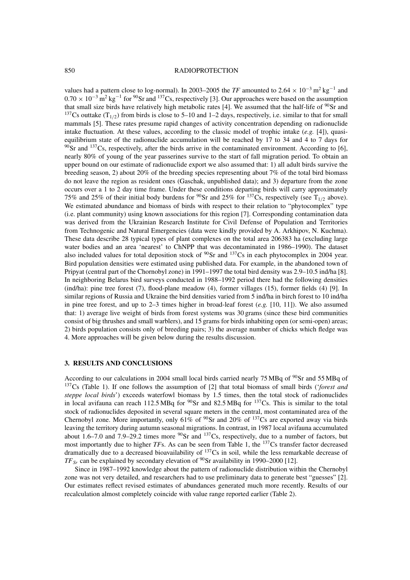### 850 RADIOPROTECTION

values had a pattern close to log-normal). In 2003–2005 the *TF* amounted to 2.64 × 10<sup>-3</sup> m<sup>2</sup> kg<sup>-1</sup> and  $0.70 \times 10^{-3}$  m<sup>2</sup> kg<sup>-1</sup> for <sup>90</sup>Sr and <sup>137</sup>Cs, respectively [3]. Our approaches were based on the assumption that small size birds have relatively high metabolic rates [4]. We assumed that the half-life of  $90$ Sr and <sup>137</sup>Cs outtake  $(T_{1/2})$  from birds is close to 5–10 and 1–2 days, respectively, i.e. similar to that for small mammals [5]. These rates presume rapid changes of activity concentration depending on radionuclide intake fluctuation. At these values, according to the classic model of trophic intake (*e.g.* [4]), quasiequilibrium state of the radionuclide accumulation will be reached by 17 to 34 and 4 to 7 days for  $90$ Sr and  $137$ Cs, respectively, after the birds arrive in the contaminated environment. According to [6], nearly 80% of young of the year passerines survive to the start of fall migration period. To obtain an upper bound on our estimate of radionuclide export we also assumed that: 1) all adult birds survive the breeding season, 2) about 20% of the breeding species representing about 7% of the total bird biomass do not leave the region as resident ones (Gaschak, unpublished data); and 3) departure from the zone occurs over a 1 to 2 day time frame. Under these conditions departing birds will carry approximately 75% and 25% of their initial body burdens for <sup>90</sup>Sr and 25% for <sup>137</sup>Cs, respectively (see  $T_{1/2}$  above). We estimated abundance and biomass of birds with respect to their relation to "phytocomplex" type (i.e. plant community) using known associations for this region [7]. Corresponding contamination data was derived from the Ukrainian Research Institute for Civil Defense of Population and Territories from Technogenic and Natural Emergencies (data were kindly provided by A. Arkhipov, N. Kuchma). These data describe 28 typical types of plant complexes on the total area 206383 ha (excluding large water bodies and an area 'nearest' to ChNPP that was decontaminated in 1986–1990). The dataset also included values for total deposition stock of  $90$ Sr and  $137$ Cs in each phytocomplex in 2004 year. Bird population densities were estimated using published data. For example, in the abandoned town of Pripyat (central part of the Chornobyl zone) in 1991–1997 the total bird density was 2.9–10.5 ind/ha [8]. In neighboring Belarus bird surveys conducted in 1988–1992 period there had the following densities (ind/ha): pine tree forest (7), flood-plane meadow (4), former villages (15), former fields (4) [9]. In similar regions of Russia and Ukraine the bird densities varied from 5 ind/ha in birch forest to 10 ind/ha in pine tree forest, and up to 2–3 times higher in broad-leaf forest (*e.g.* [10, 11]). We also assumed that: 1) average live weight of birds from forest systems was 30 grams (since these bird communities consist of big thrushes and small warblers), and 15 grams for birds inhabiting open (or semi-open) areas; 2) birds population consists only of breeding pairs; 3) the average number of chicks which fledge was 4. More approaches will be given below during the results discussion.

#### **3. RESULTS AND CONCLUSIONS**

According to our calculations in 2004 small local birds carried nearly 75 MBq of  $^{90}$ Sr and 55 MBq of 137Cs (Table 1). If one follows the assumption of [2] that total biomass of small birds ('*forest and steppe local birds*') exceeds waterfowl biomass by 1.5 times, then the total stock of radionuclides in local avifauna can reach 112.5 MBq for  $^{90}$ Sr and 82.5 MBq for  $^{137}$ Cs. This is similar to the total stock of radionuclides deposited in several square meters in the central, most contaminated area of the Chernobyl zone. More importantly, only  $61\%$  of <sup>90</sup>Sr and 20% of <sup>137</sup>Cs are exported away via birds leaving the territory during autumn seasonal migrations. In contrast, in 1987 local avifauna accumulated about 1.6–7.0 and 7.9–29.2 times more  $90$ Sr and  $137$ Cs, respectively, due to a number of factors, but most importantly due to higher *TF*s. As can be seen from Table 1, the <sup>137</sup>Cs transfer factor decreased dramatically due to a decreased bioavailability of <sup>137</sup>Cs in soil, while the less remarkable decrease of  $TF_{Sr}$  can be explained by secondary elevation of <sup>90</sup>Sr availability in 1990–2000 [12].

Since in 1987–1992 knowledge about the pattern of radionuclide distribution within the Chernobyl zone was not very detailed, and researchers had to use preliminary data to generate best "guesses" [2]. Our estimates reflect revised estimates of abundances generated much more recently. Results of our recalculation almost completely coincide with value range reported earlier (Table 2).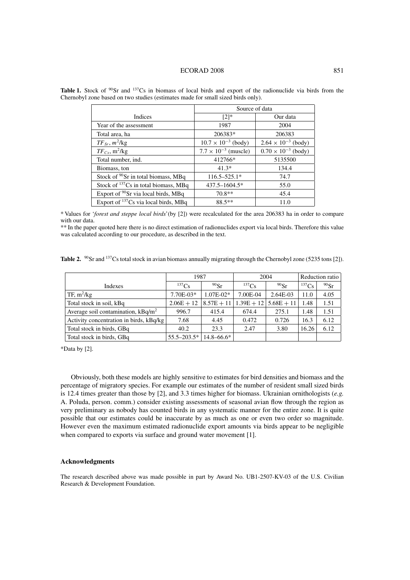#### ECORAD 2008 851

|                                                  | Source of data                |                              |  |  |
|--------------------------------------------------|-------------------------------|------------------------------|--|--|
| <b>Indices</b>                                   | $[2]$ *                       | Our data                     |  |  |
| Year of the assessment                           | 1987                          | 2004                         |  |  |
| Total area, ha                                   | 206383*                       | 206383                       |  |  |
| $TF_{Sr}, m^2/kg$                                | $10.7 \times 10^{-3}$ (body)  | $2.64 \times 10^{-3}$ (body) |  |  |
| $TF_{Cs}$ , m <sup>2</sup> /kg                   | $7.7 \times 10^{-3}$ (muscle) | $0.70 \times 10^{-3}$ (body) |  |  |
| Total number, ind.                               | 412766*                       | 5135500                      |  |  |
| Biomass, ton                                     | $41.3*$                       | 134.4                        |  |  |
| Stock of $90$ Sr in total biomass, MBq           | $116.5 - 525.1*$              | 74.7                         |  |  |
| Stock of $137Cs$ in total biomass, MBq           | 437.5-1604.5*                 | 55.0                         |  |  |
| Export of <sup>90</sup> Sr via local birds, MBq  | $70.8**$                      | 45.4                         |  |  |
| Export of <sup>137</sup> Cs via local birds, MBq | 88.5**                        | 11.0                         |  |  |

**Table 1.** Stock of <sup>90</sup>Sr and <sup>137</sup>Cs in biomass of local birds and export of the radionuclide via birds from the Chernobyl zone based on two studies (estimates made for small sized birds only).

\* Values for '*forest and steppe local birds*'(by [2]) were recalculated for the area 206383 ha in order to compare with our data.

\*\* In the paper quoted here there is no direct estimation of radionuclides export via local birds. Therefore this value was calculated according to our procedure, as described in the text.

Table 2. <sup>90</sup>Sr and <sup>137</sup>Cs total stock in avian biomass annually migrating through the Chernobyl zone (5235 tons [2]).

|                                         | 1987            |                | 2004       |                              | Reduction ratio |         |
|-----------------------------------------|-----------------|----------------|------------|------------------------------|-----------------|---------|
| Indexes                                 | $^{137}Cs$      | $90$ Sr        | $^{137}Cs$ | $90$ Sr                      | $^{137}Cs$      | $90$ Sr |
| TF, $m^2/kg$                            | 7.70E-03*       | $1.07E - 02*$  | 7.00E-04   | 2.64E-03                     | 11.0            | 4.05    |
| Total stock in soil, kBq                | $2.06E + 12$    | $8.57E + 11$   |            | $1.39E + 12 \mid 5.68E + 11$ | 1.48            | 1.51    |
| Average soil contamination, $kBq/m^2$   | 996.7           | 415.4          | 674.4      | 275.1                        | 1.48            | 1.51    |
| Activity concentration in birds, kBq/kg | 7.68            | 4.45           | 0.472      | 0.726                        | 16.3            | 6.12    |
| Total stock in birds, GBq               | 40.2            | 23.3           | 2.47       | 3.80                         | 16.26           | 6.12    |
| Total stock in birds, GBq               | $55.5 - 203.5*$ | $14.8 - 66.6*$ |            |                              |                 |         |

\*Data by [2].

Obviously, both these models are highly sensitive to estimates for bird densities and biomass and the percentage of migratory species. For example our estimates of the number of resident small sized birds is 12.4 times greater than those by [2], and 3.3 times higher for biomass. Ukrainian ornithologists (*e.g.* A. Poluda, person. comm.) consider existing assessments of seasonal avian flow through the region as very preliminary as nobody has counted birds in any systematic manner for the entire zone. It is quite possible that our estimates could be inaccurate by as much as one or even two order so magnitude. However even the maximum estimated radionuclide export amounts via birds appear to be negligible when compared to exports via surface and ground water movement [1].

# **Acknowledgments**

The research described above was made possible in part by Award No. UB1-2507-KV-03 of the U.S. Civilian Research & Development Foundation.